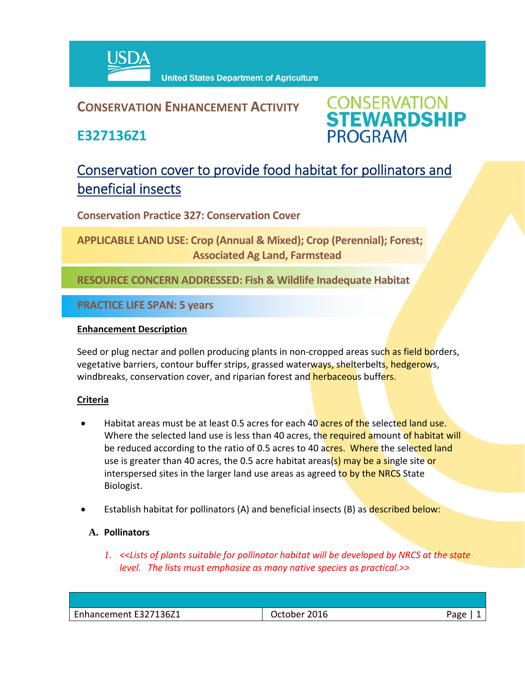

# **CONSERVATION ENHANCEMENT ACTIVITY**

**E327136Z1**



# Conservation cover to provide food habitat for pollinators and beneficial insects

**Conservation Practice 327: Conservation Cover** 

**APPLICABLE LAND USE: Crop (Annual & Mixed); Crop (Perennial); Forest; Associated Ag Land, Farmstead**

**RESOURCE CONCERN ADDRESSED: Fish & Wildlife Inadequate Habitat**

**PRACTICE LIFE SPAN: 5 years**

## **Enhancement Description**

Seed or plug nectar and pollen producing plants in non-cropped areas such as field borders, vegetative barriers, contour buffer strips, grassed waterways, shelterbelts, hedgerows, windbreaks, conservation cover, and riparian forest and herbaceous buffers.

## **Criteria**

- Habitat areas must be at least 0.5 acres for each 40 acres of the selected land use. Where the selected land use is less than 40 acres, the required amount of habitat will be reduced according to the ratio of 0.5 acres to 40 acres. Where the selected land use is greater than 40 acres, the 0.5 acre habitat areas(s) may be a single site or interspersed sites in the larger land use areas as agreed to by the NRCS State Biologist.
- Establish habitat for pollinators (A) and beneficial insects (B) as described below:

## **A. Pollinators**

*1. <<Lists of plants suitable for pollinator habitat will be developed by NRCS at the state level. The lists must emphasize as many native species as practical.>>*

| חסהי<br>- פ |
|-------------|
|             |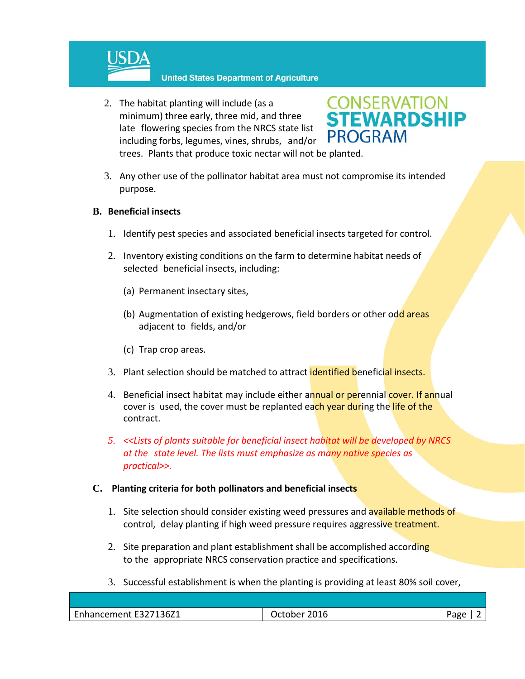

**United States Department of Agriculture** 

2. The habitat planting will include (as a minimum) three early, three mid, and three late flowering species from the NRCS state list including forbs, legumes, vines, shrubs, and/or trees. Plants that produce toxic nectar will not be planted.



3. Any other use of the pollinator habitat area must not compromise its intended purpose.

## **B. Beneficial insects**

- 1. Identify pest species and associated beneficial insects targeted for control.
- 2. Inventory existing conditions on the farm to determine habitat needs of selected beneficial insects, including:
	- (a) Permanent insectary sites,
	- (b) Augmentation of existing hedgerows, field borders or other odd areas adjacent to fields, and/or
	- (c) Trap crop areas.
- 3. Plant selection should be matched to attract **identified beneficial insects.**
- 4. Beneficial insect habitat may include either annual or perennial cover. If annual cover is used, the cover must be replanted each year during the life of the contract.
- *5. <<Lists of plants suitable for beneficial insect habitat will be developed by NRCS at the state level. The lists must emphasize as many native species as practical>>.*

#### **C. Planting criteria for both pollinators and beneficial insects**

- 1. Site selection should consider existing weed pressures and available methods of control, delay planting if high weed pressure requires aggressive treatment.
- 2. Site preparation and plant establishment shall be accomplished according to the appropriate NRCS conservation practice and specifications.
- 3. Successful establishment is when the planting is providing at least 80% soil cover,

| Enhancement E327136Z1 | 2016<br>Jctober | <b>PARA</b><br>o |
|-----------------------|-----------------|------------------|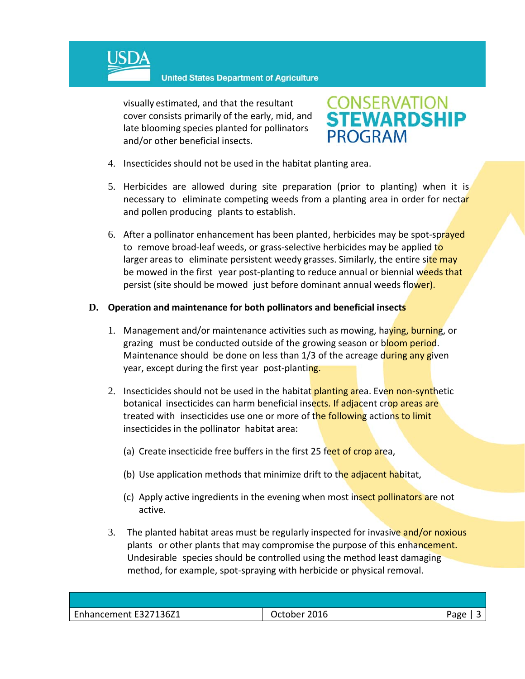

**United States Department of Agriculture** 

visually estimated, and that the resultant cover consists primarily of the early, mid, and late blooming species planted for pollinators and/or other beneficial insects.



- 4. Insecticides should not be used in the habitat planting area.
- 5. Herbicides are allowed during site preparation (prior to planting) when it is necessary to eliminate competing weeds from a planting area in order for nectar and pollen producing plants to establish.
- 6. After a pollinator enhancement has been planted, herbicides may be spot-sprayed to remove broad-leaf weeds, or grass-selective herbicides may be applied to larger areas to eliminate persistent weedy grasses. Similarly, the entire site may be mowed in the first year post-planting to reduce annual or biennial weeds that persist (site should be mowed just before dominant annual weeds flower).

#### **D. Operation and maintenance for both pollinators and beneficial insects**

- 1. Management and/or maintenance activities such as mowing, haying, burning, or grazing must be conducted outside of the growing season or bloom period. Maintenance should be done on less than 1/3 of the acreage during any given year, except during the first year post-planting.
- 2. Insecticides should not be used in the habitat planting area. Even non-synthetic botanical insecticides can harm beneficial insects. If adjacent crop areas are treated with insecticides use one or more of the following actions to limit insecticides in the pollinator habitat area:
	- (a) Create insecticide free buffers in the first 25 feet of crop area,
	- (b) Use application methods that minimize drift to the adjacent habitat,
	- (c) Apply active ingredients in the evening when most insect pollinators are not active.
- 3. The planted habitat areas must be regularly inspected for invasive and/or noxious plants or other plants that may compromise the purpose of this enhancement. Undesirable species should be controlled using the method least damaging method, for example, spot‐spraying with herbicide or physical removal.

| Enhancement E327136Z1 | 2016<br>October | Pape |
|-----------------------|-----------------|------|